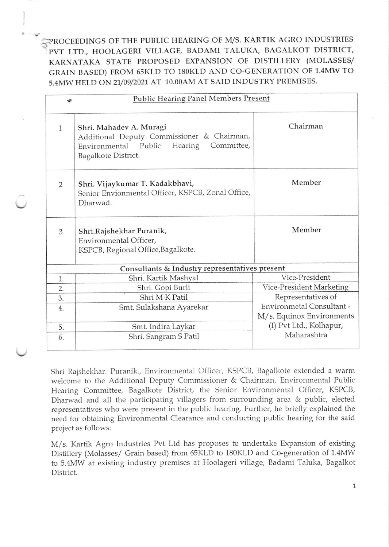1-?ROCEEDINGS OF THE PUBLIC HEARING OF I\4/S. KARTIK AGRO INDUSTRIES PVT LTD., HOOLAGERI VILLAGE, BADAMI TALUKA, BAGALKOT DISTRICT, KARNATAKA STATE PROPOSED EXPANSION OF DISTILLERY (MOLASSES/ GRAIN BASED) FROM 65KLD TO 180KLD AND CO-GENERATION OF 1.4MW TO 5.4MW HELD ON 21/09/2021 AT 10.00AM AT SAID INDUSTRY PREMISES.

| Public Hearing Panel Members Present           |                                                                                                                                            |                                                        |
|------------------------------------------------|--------------------------------------------------------------------------------------------------------------------------------------------|--------------------------------------------------------|
| $\mathbf{1}$                                   | Shri. Mahadev A. Muragi<br>Additional Deputy Commissioner & Chairman,<br>Environmental Public Hearing<br>Committee,<br>Bagalkote District. | Chairman                                               |
| $\overline{2}$                                 | Shri. Vijaykumar T. Kadakbhavi,<br>Senior Envionmental Officer, KSPCB, Zonal Office,<br>Dharwad.                                           | Member                                                 |
| 3                                              | Shri.Rajshekhar Puranik,<br>Environmental Officer,<br>KSPCB, Regional Office, Bagalkote.                                                   | Member                                                 |
| Consultants & Industry representatives present |                                                                                                                                            |                                                        |
| 1.                                             | Shri. Kartik Mashyal                                                                                                                       | Vice-President                                         |
| $\overline{2}$ .                               | Shri. Gopi Burli                                                                                                                           | Vice-President Marketing                               |
| 3.                                             | Shri M <sub>K</sub> Patil                                                                                                                  | Representatives of                                     |
| 4.                                             | Smt. Sulakshana Ayarekar                                                                                                                   | Environmetal Consultant -<br>M/s. Equinox Environments |
| 5.                                             | Smt. Indira Laykar                                                                                                                         | (I) Pvt Ltd., Kolhapur,                                |
| 6.                                             | Shri. Sangram S Patil                                                                                                                      | Maharashtra                                            |

Shri Rajshekhar. Puranik., Environmental Officer, KSPCB, Bagalkote extended a warm welcome to the Additional Deputy Commissioner & Chairman. Environmental Public Hearing Committee, Bagalkote District, the Senior Environmental Officer, KSPCB, Dharwad and all the participating villagers from surrounding area & public, elected representatives who were present in the public hearing. Further, he briefly explained the need for obtaining Environmentai Clearance and conducting public hearing for the said project as follows:

M/s. Kartik Agro Industries Pvt Ltd has proposes to undertake Expansion of existing Distillery (Molasses/ Grain based) from 65KLD to 180KLD and Co-generation of 1.4MW to 5.4MW at existing industry premises at Hoolageri village, Badami Taluka, Bagalkot District.

1,